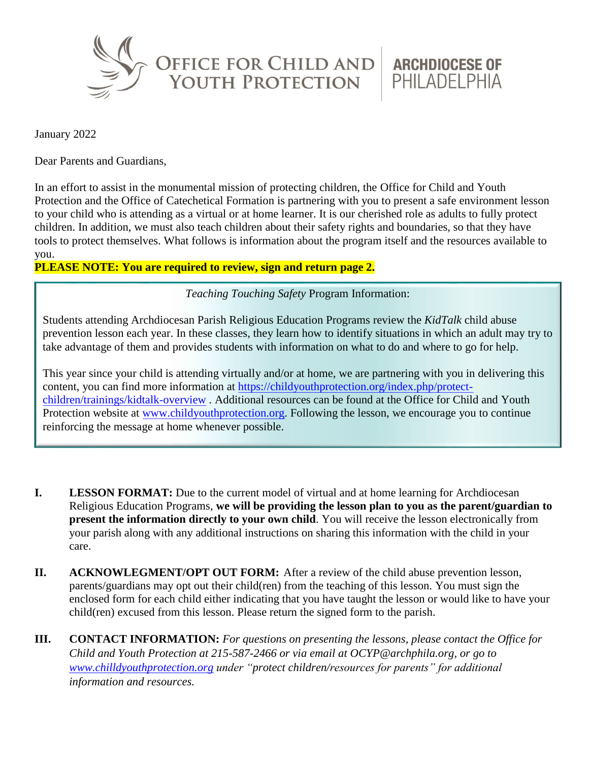

**ARCHDIOCESE OF** PHILADELPHIA

January 2022

Dear Parents and Guardians,

In an effort to assist in the monumental mission of protecting children, the Office for Child and Youth Protection and the Office of Catechetical Formation is partnering with you to present a safe environment lesson to your child who is attending as a virtual or at home learner. It is our cherished role as adults to fully protect children. In addition, we must also teach children about their safety rights and boundaries, so that they have tools to protect themselves. What follows is information about the program itself and the resources available to you.

## **PLEASE NOTE: You are required to review, sign and return page 2.**

*Teaching Touching Safety* Program Information:

Students attending Archdiocesan Parish Religious Education Programs review the *KidTalk* child abuse prevention lesson each year. In these classes, they learn how to identify situations in which an adult may try to take advantage of them and provides students with information on what to do and where to go for help.

This year since your child is attending virtually and/or at home, we are partnering with you in delivering this content, you can find more information at [https://childyouthprotection.org/index.php/protect](https://childyouthprotection.org/index.php/protect-children/trainings/kidtalk-overview)[children/trainings/kidtalk-overview](https://childyouthprotection.org/index.php/protect-children/trainings/kidtalk-overview) . Additional resources can be found at the Office for Child and Youth Protection website at [www.childyouthprotection.org.](http://www.childyouthprotection.org/) Following the lesson, we encourage you to continue reinforcing the message at home whenever possible.

- **I. LESSON FORMAT:** Due to the current model of virtual and at home learning for Archdiocesan Religious Education Programs, **we will be providing the lesson plan to you as the parent/guardian to present the information directly to your own child**. You will receive the lesson electronically from your parish along with any additional instructions on sharing this information with the child in your care.
- **II. ACKNOWLEGMENT/OPT OUT FORM:** After a review of the child abuse prevention lesson, parents/guardians may opt out their child(ren) from the teaching of this lesson. You must sign the enclosed form for each child either indicating that you have taught the lesson or would like to have your child(ren) excused from this lesson. Please return the signed form to the parish.
- **III. CONTACT INFORMATION:** *For questions on presenting the lessons, please contact the Office for Child and Youth Protection at 215-587-2466 or via email at OCYP@archphila.org, or go to [www.chilldyouthprotection.org](http://www.chilldyouthprotection.org/) under "protect children/resources for parents" for additional information and resources.*